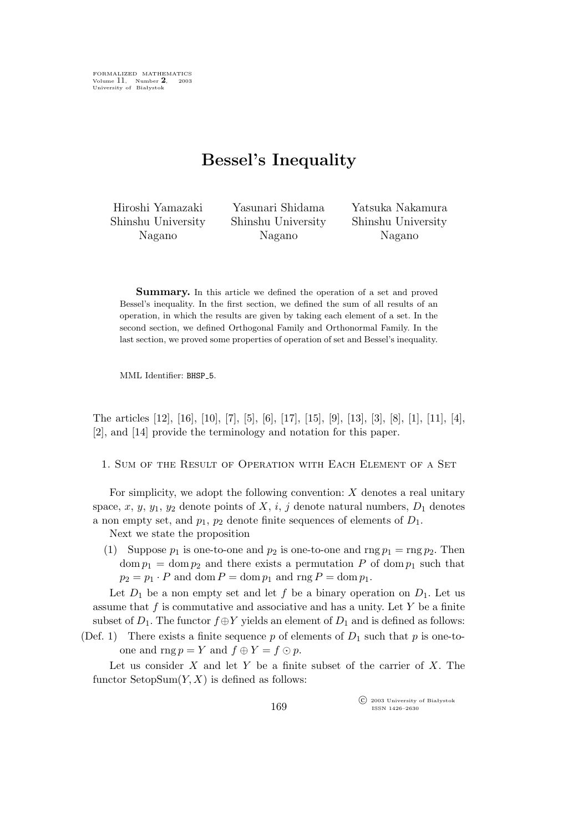FORMALIZED MATHEMATICS Volume 11, Number **2**, 2003 University of Białystok

# **Bessel's Inequality**

Hiroshi Yamazaki Shinshu University Nagano

Yasunari Shidama Shinshu University Nagano

Yatsuka Nakamura Shinshu University Nagano

**Summary.** In this article we defined the operation of a set and proved Bessel's inequality. In the first section, we defined the sum of all results of an operation, in which the results are given by taking each element of a set. In the second section, we defined Orthogonal Family and Orthonormal Family. In the last section, we proved some properties of operation of set and Bessel's inequality.

MML Identifier: BHSP<sub>-5</sub>.

The articles [12], [16], [10], [7], [5], [6], [17], [15], [9], [13], [3], [8], [1], [11], [4], [2], and [14] provide the terminology and notation for this paper.

1. Sum of the Result of Operation with Each Element of a Set

For simplicity, we adopt the following convention: X denotes a real unitary space, x, y, y<sub>1</sub>, y<sub>2</sub> denote points of X, i, j denote natural numbers,  $D_1$  denotes a non empty set, and  $p_1$ ,  $p_2$  denote finite sequences of elements of  $D_1$ .

Next we state the proposition

(1) Suppose  $p_1$  is one-to-one and  $p_2$  is one-to-one and rng  $p_1 = \text{rng } p_2$ . Then  $\text{dom } p_1 = \text{dom } p_2$  and there exists a permutation P of  $\text{dom } p_1$  such that  $p_2 = p_1 \cdot P$  and dom  $P = \text{dom } p_1$  and  $\text{rng } P = \text{dom } p_1$ .

Let  $D_1$  be a non empty set and let f be a binary operation on  $D_1$ . Let us assume that f is commutative and associative and has a unity. Let Y be a finite subset of  $D_1$ . The functor  $f \oplus Y$  yields an element of  $D_1$  and is defined as follows:

(Def. 1) There exists a finite sequence p of elements of  $D_1$  such that p is one-toone and  $\text{rng } p = Y$  and  $f \oplus Y = f \odot p$ .

Let us consider  $X$  and let  $Y$  be a finite subset of the carrier of  $X$ . The functor  $\text{SetopSum}(Y, X)$  is defined as follows:

> °c 2003 University of Białystok ISSN 1426–2630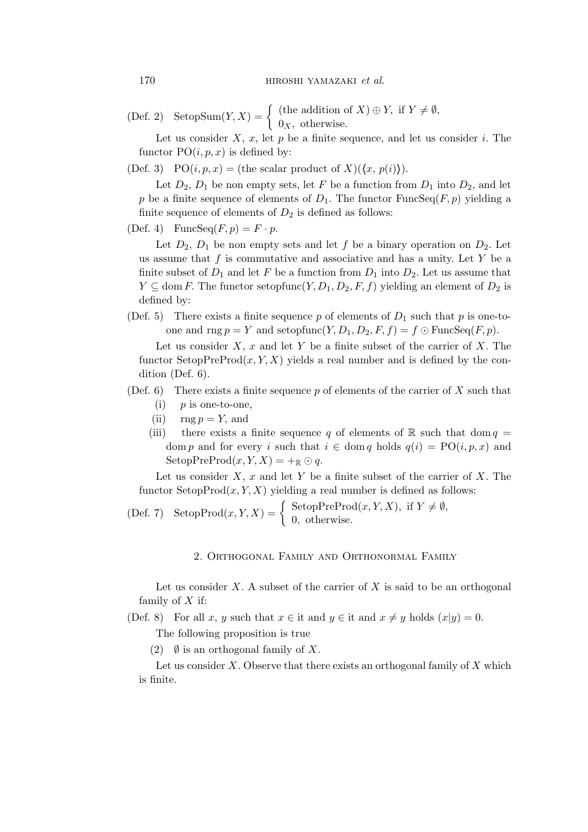$(\text{Def. 2}) \quad \text{SetopSum}(Y, X) = \begin{cases} (\text{the addition of } X) \oplus Y, & \text{if } Y \neq \emptyset, \\ 0 & \text{otherwise.} \end{cases}$  $0_X$ , otherwise.

Let us consider  $X, x$ , let  $p$  be a finite sequence, and let us consider  $i$ . The functor  $PO(i, p, x)$  is defined by:

(Def. 3) PO $(i, p, x)$  = (the scalar product of  $X$ ) $(\langle x, p(i) \rangle)$ .

Let  $D_2$ ,  $D_1$  be non empty sets, let F be a function from  $D_1$  into  $D_2$ , and let p be a finite sequence of elements of  $D_1$ . The functor  $FuncSeq(F, p)$  yielding a finite sequence of elements of  $D_2$  is defined as follows:

(Def. 4) FuncSeq $(F, p) = F \cdot p$ .

Let  $D_2$ ,  $D_1$  be non empty sets and let f be a binary operation on  $D_2$ . Let us assume that  $f$  is commutative and associative and has a unity. Let  $Y$  be a finite subset of  $D_1$  and let F be a function from  $D_1$  into  $D_2$ . Let us assume that  $Y \subseteq$  dom F. The functor setopfunc $(Y, D_1, D_2, F, f)$  yielding an element of  $D_2$  is defined by:

(Def. 5) There exists a finite sequence p of elements of  $D_1$  such that p is one-toone and rng  $p = Y$  and setopfunc $(Y, D_1, D_2, F, f) = f \odot \text{FuncSeq}(F, p)$ .

Let us consider  $X$ ,  $x$  and let  $Y$  be a finite subset of the carrier of  $X$ . The functor SetopPreProd $(x, Y, X)$  yields a real number and is defined by the condition (Def. 6).

## (Def. 6) There exists a finite sequence  $p$  of elements of the carrier of  $X$  such that

- (i)  $p$  is one-to-one,
- (ii)  $\text{rng } p = Y$ , and
- (iii) there exists a finite sequence q of elements of R such that dom  $q =$ dom p and for every i such that  $i \in \text{dom } q$  holds  $q(i) = \text{PO}(i, p, x)$  and SetopPreProd $(x, Y, X) = +_{\mathbb{R}} \odot q$ .

Let us consider  $X$ ,  $x$  and let  $Y$  be a finite subset of the carrier of  $X$ . The functor  $\text{SetopProd}(x, Y, X)$  yielding a real number is defined as follows:

(Def. 7) SetopProd
$$
(x, Y, X)
$$
 =  $\begin{cases} \text{SetopPreProd}(x, Y, X), & \text{if } Y \neq \emptyset, \\ 0, & \text{otherwise.} \end{cases}$ 

#### 2. Orthogonal Family and Orthonormal Family

Let us consider  $X$ . A subset of the carrier of  $X$  is said to be an orthogonal family of  $X$  if:

(Def. 8) For all x, y such that  $x \in \text{it}$  and  $y \in \text{it}$  and  $x \neq y$  holds  $(x|y) = 0$ .

The following proposition is true

(2)  $\emptyset$  is an orthogonal family of X.

Let us consider  $X$ . Observe that there exists an orthogonal family of  $X$  which is finite.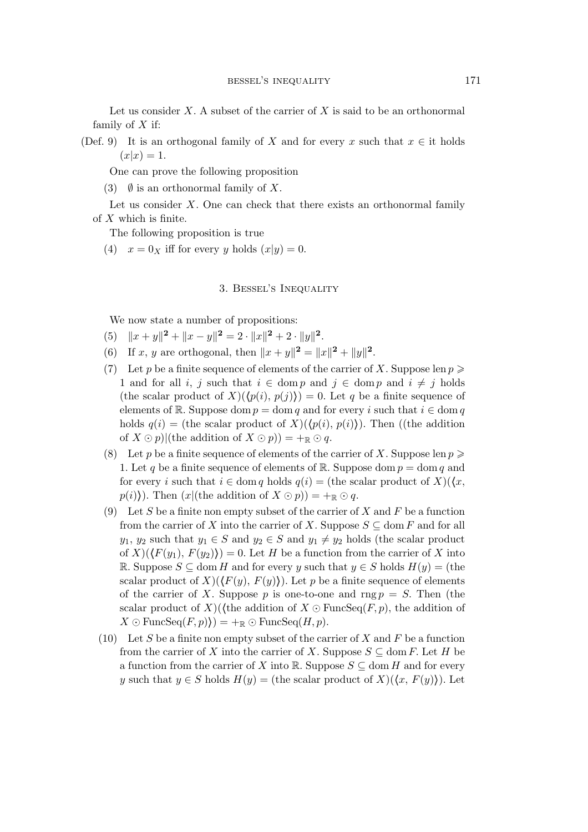Let us consider  $X$ . A subset of the carrier of  $X$  is said to be an orthonormal family of  $X$  if:

(Def. 9) It is an orthogonal family of X and for every x such that  $x \in \text{it holds}$  $(x|x) = 1.$ 

One can prove the following proposition

(3)  $\emptyset$  is an orthonormal family of X.

Let us consider  $X$ . One can check that there exists an orthonormal family of X which is finite.

The following proposition is true

(4)  $x = 0$ <sub>X</sub> iff for every y holds  $(x|y) = 0$ .

### 3. Bessel's Inequality

We now state a number of propositions:

- $(5)$   $||x+y||^2 + ||x-y||^2 = 2 \cdot ||x||^2 + 2 \cdot ||y||^2.$
- (6) If x, y are orthogonal, then  $||x + y||^2 = ||x||^2 + ||y||^2$ .
- (7) Let p be a finite sequence of elements of the carrier of X. Suppose len  $p \geqslant$ 1 and for all i, j such that  $i \in \text{dom } p$  and  $j \in \text{dom } p$  and  $i \neq j$  holds (the scalar product of  $X(\langle p(i), p(j) \rangle) = 0$ . Let q be a finite sequence of elements of R. Suppose dom  $p = \text{dom } q$  and for every i such that  $i \in \text{dom } q$ holds  $q(i)$  = (the scalar product of  $X(\langle p(i), p(i) \rangle)$ ). Then ((the addition of  $X \odot p$ <sup>*|*</sup>(the addition of  $X \odot p$ *)* = +<sub>R</sub>  $\odot q$ .
- (8) Let p be a finite sequence of elements of the carrier of X. Suppose len  $p \geqslant$ 1. Let q be a finite sequence of elements of R. Suppose dom  $p = \text{dom } q$  and for every i such that  $i \in \text{dom } q$  holds  $q(i) =$  (the scalar product of X)( $\langle x, \rangle$  $p(i)$ ). Then  $(x|$ (the addition of  $X \odot p$ )) = +<sub>R</sub>  $\odot q$ .
- (9) Let S be a finite non empty subset of the carrier of X and F be a function from the carrier of X into the carrier of X. Suppose  $S \subseteq \text{dom } F$  and for all  $y_1, y_2$  such that  $y_1 \in S$  and  $y_2 \in S$  and  $y_1 \neq y_2$  holds (the scalar product of  $X$ ) $(\langle F(y_1), F(y_2) \rangle$  = 0. Let H be a function from the carrier of X into R. Suppose  $S \subseteq$  dom H and for every y such that  $y \in S$  holds  $H(y) =$  (the scalar product of  $X$ )( $\langle F(y), F(y) \rangle$ ). Let p be a finite sequence of elements of the carrier of X. Suppose p is one-to-one and rng  $p = S$ . Then (the scalar product of  $X$ )( $\langle$ the addition of  $X \odot$  FuncSeq $(F, p)$ , the addition of  $X \odot \text{FuncSeq}(F, p)$ ) = +<sub>R</sub>  $\odot$  FuncSeq(*H*, *p*).
- (10) Let S be a finite non empty subset of the carrier of X and F be a function from the carrier of X into the carrier of X. Suppose  $S \subseteq \text{dom } F$ . Let H be a function from the carrier of X into R. Suppose  $S \subseteq$  dom H and for every y such that  $y \in S$  holds  $H(y) =$  (the scalar product of  $X$ ) $(\langle x, F(y) \rangle)$ . Let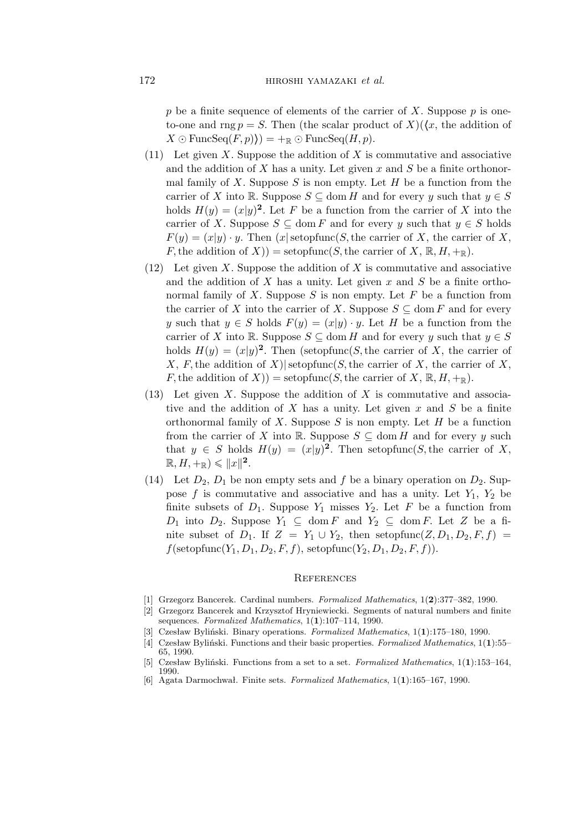p be a finite sequence of elements of the carrier of X. Suppose  $p$  is oneto-one and rng  $p = S$ . Then (the scalar product of X)( $\langle x, \rangle$  the addition of  $X \odot \text{FuncSeq}(F, p)$ } = +<sub>R</sub>  $\odot$  FuncSeq(*H*, *p*).

- (11) Let given X. Suppose the addition of X is commutative and associative and the addition of X has a unity. Let given x and S be a finite orthonormal family of X. Suppose S is non empty. Let  $H$  be a function from the carrier of X into R. Suppose  $S \subseteq \text{dom } H$  and for every y such that  $y \in S$ holds  $H(y) = (x|y)^2$ . Let F be a function from the carrier of X into the carrier of X. Suppose  $S \subseteq \text{dom } F$  and for every y such that  $y \in S$  holds  $F(y) = (x|y) \cdot y$ . Then  $(x| \text{setopfunc}(S, \text{the carrier of } X, \text{ the carrier of } X,$ F, the addition of X)) = setopfunc(S, the carrier of X, R, H,  $+_{\mathbb{R}}$ ).
- (12) Let given X. Suppose the addition of X is commutative and associative and the addition of  $X$  has a unity. Let given  $x$  and  $S$  be a finite orthonormal family of X. Suppose  $S$  is non empty. Let  $F$  be a function from the carrier of X into the carrier of X. Suppose  $S \subseteq \text{dom } F$  and for every y such that  $y \in S$  holds  $F(y) = (x|y) \cdot y$ . Let H be a function from the carrier of X into R. Suppose  $S \subseteq \text{dom } H$  and for every y such that  $y \in S$ holds  $H(y) = (x|y)^2$ . Then (setopfunc(S, the carrier of X, the carrier of X, F, the addition of X $||$ setopfunc $(S,$  the carrier of X, the carrier of X, F, the addition of X)) = setopfunc(S, the carrier of X,  $\mathbb{R}, H, +_{\mathbb{R}}$ ).
- $(13)$  Let given X. Suppose the addition of X is commutative and associative and the addition of  $X$  has a unity. Let given  $x$  and  $S$  be a finite orthonormal family of  $X$ . Suppose  $S$  is non empty. Let  $H$  be a function from the carrier of X into R. Suppose  $S \subseteq \text{dom } H$  and for every y such that  $y \in S$  holds  $H(y) = (x|y)^2$ . Then setopfunc(S, the carrier of X,  $\mathbb{R}, H, +_{\mathbb{R}} \leqslant \|x\|^2.$
- (14) Let  $D_2$ ,  $D_1$  be non empty sets and f be a binary operation on  $D_2$ . Suppose f is commutative and associative and has a unity. Let  $Y_1$ ,  $Y_2$  be finite subsets of  $D_1$ . Suppose  $Y_1$  misses  $Y_2$ . Let F be a function from  $D_1$  into  $D_2$ . Suppose  $Y_1$  ⊆ dom F and  $Y_2$  ⊆ dom F. Let Z be a finite subset of  $D_1$ . If  $Z = Y_1 \cup Y_2$ , then setopfunc $(Z, D_1, D_2, F, f)$  $f(\operatorname{setopfunc}(Y_1, D_1, D_2, F, f), \operatorname{setopfunc}(Y_2, D_1, D_2, F, f)).$

#### **REFERENCES**

- [1] Grzegorz Bancerek. Cardinal numbers. *Formalized Mathematics*, 1(**2**):377–382, 1990.
- [2] Grzegorz Bancerek and Krzysztof Hryniewiecki. Segments of natural numbers and finite sequences. *Formalized Mathematics*, 1(**1**):107–114, 1990.
- [3] Czesław Byliński. Binary operations. *Formalized Mathematics*, 1(**1**):175–180, 1990.
- [4] Czesław Byliński. Functions and their basic properties. *Formalized Mathematics*, 1(**1**):55– 65, 1990.
- [5] Czesław Byliński. Functions from a set to a set. *Formalized Mathematics*, 1(**1**):153–164, 1990.
- [6] Agata Darmochwał. Finite sets. *Formalized Mathematics*, 1(**1**):165–167, 1990.